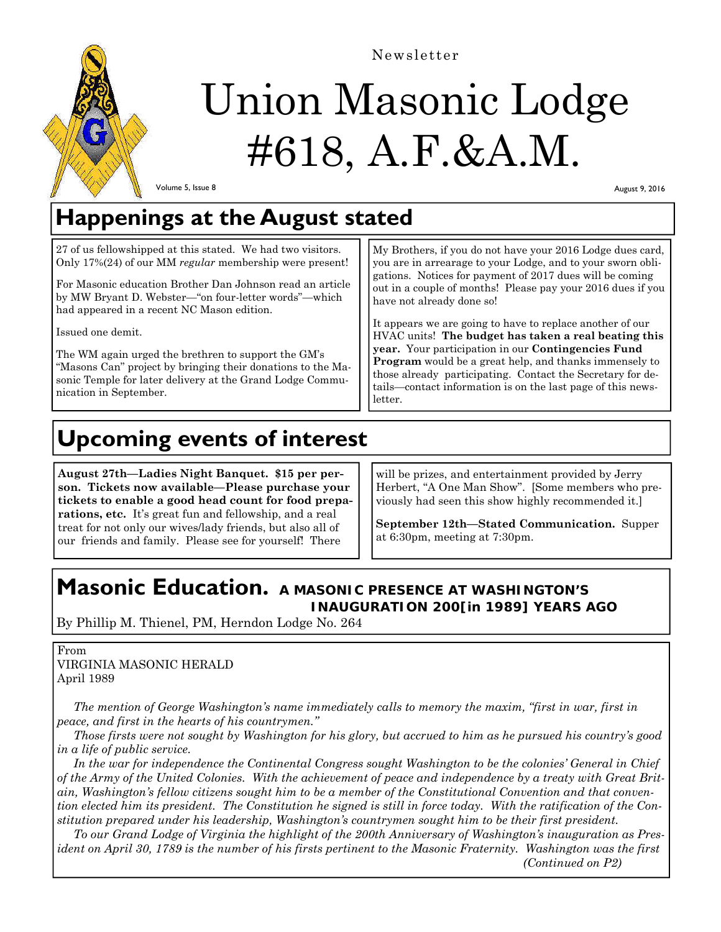

Newsletter

# Union Masonic Lodge #618, A.F.&A.M.

Volume 5, Issue 8

August 9, 2016

## **Happenings at the August stated**

27 of us fellowshipped at this stated. We had two visitors. Only 17%(24) of our MM *regular* membership were present!

For Masonic education Brother Dan Johnson read an article by MW Bryant D. Webster—"on four-letter words"—which had appeared in a recent NC Mason edition.

Issued one demit.

The WM again urged the brethren to support the GM's "Masons Can" project by bringing their donations to the Masonic Temple for later delivery at the Grand Lodge Communication in September.

My Brothers, if you do not have your 2016 Lodge dues card, you are in arrearage to your Lodge, and to your sworn obligations. Notices for payment of 2017 dues will be coming out in a couple of months! Please pay your 2016 dues if you have not already done so!

It appears we are going to have to replace another of our HVAC units! **The budget has taken a real beating this year.** Your participation in our **Contingencies Fund Program** would be a great help, and thanks immensely to those already participating. Contact the Secretary for details—contact information is on the last page of this newsletter.

## **Upcoming events of interest**

**August 27th—Ladies Night Banquet. \$15 per person. Tickets now available—Please purchase your tickets to enable a good head count for food preparations, etc.** It's great fun and fellowship, and a real treat for not only our wives/lady friends, but also all of our friends and family. Please see for yourself! There

will be prizes, and entertainment provided by Jerry Herbert, "A One Man Show". [Some members who previously had seen this show highly recommended it.]

**September 12th—Stated Communication.** Supper at 6:30pm, meeting at 7:30pm.

### **Masonic Education. A MASONIC PRESENCE AT WASHINGTON'S INAUGURATION 200[in 1989] YEARS AGO**

By Phillip M. Thienel, PM, Herndon Lodge No. 264

From VIRGINIA MASONIC HERALD April 1989

 *The mention of George Washington's name immediately calls to memory the maxim, "first in war, first in peace, and first in the hearts of his countrymen."* 

 *Those firsts were not sought by Washington for his glory, but accrued to him as he pursued his country's good in a life of public service.* 

 *In the war for independence the Continental Congress sought Washington to be the colonies' General in Chief of the Army of the United Colonies. With the achievement of peace and independence by a treaty with Great Britain, Washington's fellow citizens sought him to be a member of the Constitutional Convention and that convention elected him its president. The Constitution he signed is still in force today. With the ratification of the Constitution prepared under his leadership, Washington's countrymen sought him to be their first president.* 

 *To our Grand Lodge of Virginia the highlight of the 200th Anniversary of Washington's inauguration as President on April 30, 1789 is the number of his firsts pertinent to the Masonic Fraternity. Washington was the first* 

 *(Continued on P2)*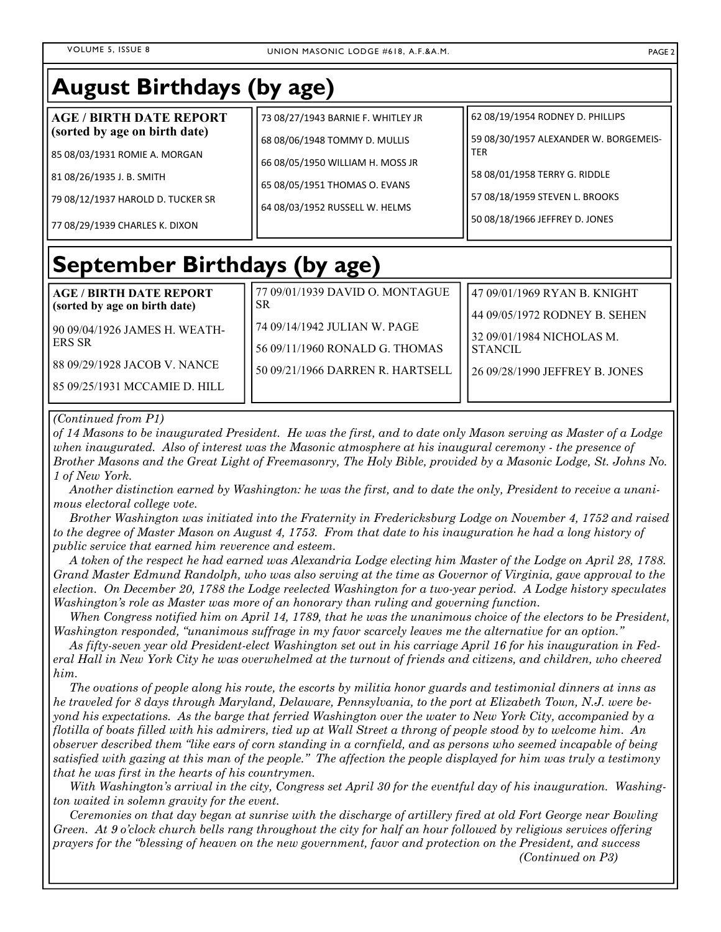| <b>August Birthdays (by age)</b>                                                                                                                                                                     |                                                                                                                                                                            |                                                                                                                                                                                              |
|------------------------------------------------------------------------------------------------------------------------------------------------------------------------------------------------------|----------------------------------------------------------------------------------------------------------------------------------------------------------------------------|----------------------------------------------------------------------------------------------------------------------------------------------------------------------------------------------|
| <b>AGE / BIRTH DATE REPORT</b><br>(sorted by age on birth date)<br>85 08/03/1931 ROMIE A. MORGAN<br>81 08/26/1935 J. B. SMITH<br>79 08/12/1937 HAROLD D. TUCKER SR<br>77 08/29/1939 CHARLES K. DIXON | 73 08/27/1943 BARNIE F. WHITLEY JR<br>68 08/06/1948 TOMMY D. MULLIS<br>66 08/05/1950 WILLIAM H. MOSS JR<br>65 08/05/1951 THOMAS O. EVANS<br>64 08/03/1952 RUSSELL W. HELMS | 62 08/19/1954 RODNEY D. PHILLIPS<br>59 08/30/1957 ALEXANDER W. BORGEMEIS-<br><b>TER</b><br>58 08/01/1958 TERRY G. RIDDLE<br>57 08/18/1959 STEVEN L. BROOKS<br>50 08/18/1966 JEFFREY D. JONES |
| September Birthdays (by age)                                                                                                                                                                         |                                                                                                                                                                            |                                                                                                                                                                                              |
| <b>AGE / BIRTH DATE REPORT</b><br>(sorted by age on birth date)<br>90 09/04/1926 JAMES H. WEATH-<br><b>ERS SR</b><br>88 09/29/1928 JACOB V. NANCE<br>85 09/25/1931 MCCAMIE D. HILL                   | 77 09/01/1939 DAVID O. MONTAGUE<br>SR.<br>74 09/14/1942 JULIAN W. PAGE<br>56 09/11/1960 RONALD G. THOMAS<br>50 09/21/1966 DARREN R. HARTSELL                               | 47 09/01/1969 RYAN B. KNIGHT<br>44 09/05/1972 RODNEY B. SEHEN<br>32 09/01/1984 NICHOLAS M.<br><b>STANCIL</b><br>26 09/28/1990 JEFFREY B. JONES                                               |

#### *(Continued from P1)*

*of 14 Masons to be inaugurated President. He was the first, and to date only Mason serving as Master of a Lodge when inaugurated. Also of interest was the Masonic atmosphere at his inaugural ceremony - the presence of Brother Masons and the Great Light of Freemasonry, The Holy Bible, provided by a Masonic Lodge, St. Johns No. 1 of New York.* 

 *Another distinction earned by Washington: he was the first, and to date the only, President to receive a unanimous electoral college vote.* 

 *Brother Washington was initiated into the Fraternity in Fredericksburg Lodge on November 4, 1752 and raised*  to the degree of Master Mason on August 4, 1753. From that date to his inauguration he had a long history of *public service that earned him reverence and esteem.* 

 *A token of the respect he had earned was Alexandria Lodge electing him Master of the Lodge on April 28, 1788. Grand Master Edmund Randolph, who was also serving at the time as Governor of Virginia, gave approval to the election. On December 20, 1788 the Lodge reelected Washington for a two-year period. A Lodge history speculates Washington's role as Master was more of an honorary than ruling and governing function.* 

 *When Congress notified him on April 14, 1789, that he was the unanimous choice of the electors to be President, Washington responded, "unanimous suffrage in my favor scarcely leaves me the alternative for an option."* 

 *As fifty-seven year old President-elect Washington set out in his carriage April 16 for his inauguration in Federal Hall in New York City he was overwhelmed at the turnout of friends and citizens, and children, who cheered him.* 

 *The ovations of people along his route, the escorts by militia honor guards and testimonial dinners at inns as he traveled for 8 days through Maryland, Delaware, Pennsylvania, to the port at Elizabeth Town, N.J. were beyond his expectations. As the barge that ferried Washington over the water to New York City, accompanied by a flotilla of boats filled with his admirers, tied up at Wall Street a throng of people stood by to welcome him. An observer described them "like ears of corn standing in a cornfield, and as persons who seemed incapable of being satisfied with gazing at this man of the people." The affection the people displayed for him was truly a testimony that he was first in the hearts of his countrymen.* 

 *With Washington's arrival in the city, Congress set April 30 for the eventful day of his inauguration. Washington waited in solemn gravity for the event.* 

 *Ceremonies on that day began at sunrise with the discharge of artillery fired at old Fort George near Bowling Green. At 9 o'clock church bells rang throughout the city for half an hour followed by religious services offering prayers for the "blessing of heaven on the new government, favor and protection on the President, and success (Continued on P3)*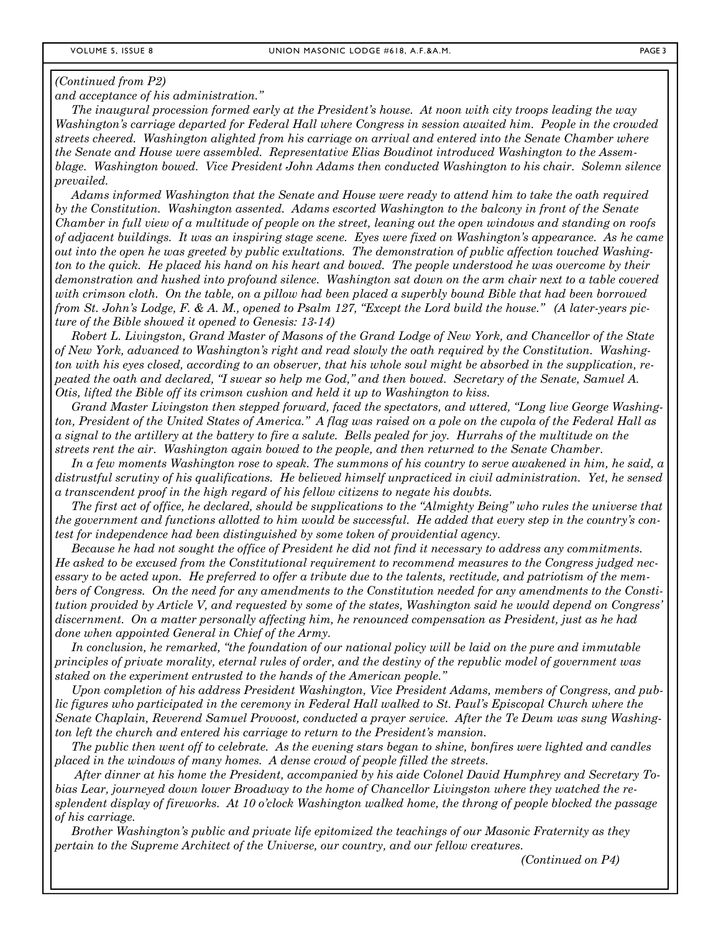#### *(Continued from P2)*

*and acceptance of his administration."* 

 *The inaugural procession formed early at the President's house. At noon with city troops leading the way Washington's carriage departed for Federal Hall where Congress in session awaited him. People in the crowded streets cheered. Washington alighted from his carriage on arrival and entered into the Senate Chamber where the Senate and House were assembled. Representative Elias Boudinot introduced Washington to the Assemblage. Washington bowed. Vice President John Adams then conducted Washington to his chair. Solemn silence prevailed.* 

 *Adams informed Washington that the Senate and House were ready to attend him to take the oath required by the Constitution. Washington assented. Adams escorted Washington to the balcony in front of the Senate Chamber in full view of a multitude of people on the street, leaning out the open windows and standing on roofs of adjacent buildings. It was an inspiring stage scene. Eyes were fixed on Washington's appearance. As he came out into the open he was greeted by public exultations. The demonstration of public affection touched Washington to the quick. He placed his hand on his heart and bowed. The people understood he was overcome by their demonstration and hushed into profound silence. Washington sat down on the arm chair next to a table covered with crimson cloth. On the table, on a pillow had been placed a superbly bound Bible that had been borrowed from St. John's Lodge, F. & A. M., opened to Psalm 127, "Except the Lord build the house." (A later-years picture of the Bible showed it opened to Genesis: 13-14)* 

 *Robert L. Livingston, Grand Master of Masons of the Grand Lodge of New York, and Chancellor of the State of New York, advanced to Washington's right and read slowly the oath required by the Constitution. Washington with his eyes closed, according to an observer, that his whole soul might be absorbed in the supplication, repeated the oath and declared, "I swear so help me God," and then bowed. Secretary of the Senate, Samuel A. Otis, lifted the Bible off its crimson cushion and held it up to Washington to kiss.* 

 *Grand Master Livingston then stepped forward, faced the spectators, and uttered, "Long live George Washington, President of the United States of America." A flag was raised on a pole on the cupola of the Federal Hall as a signal to the artillery at the battery to fire a salute. Bells pealed for joy. Hurrahs of the multitude on the streets rent the air. Washington again bowed to the people, and then returned to the Senate Chamber.* 

 *In a few moments Washington rose to speak. The summons of his country to serve awakened in him, he said, a distrustful scrutiny of his qualifications. He believed himself unpracticed in civil administration. Yet, he sensed a transcendent proof in the high regard of his fellow citizens to negate his doubts.* 

 *The first act of office, he declared, should be supplications to the "Almighty Being" who rules the universe that the government and functions allotted to him would be successful. He added that every step in the country's contest for independence had been distinguished by some token of providential agency.* 

 *Because he had not sought the office of President he did not find it necessary to address any commitments. He asked to be excused from the Constitutional requirement to recommend measures to the Congress judged necessary to be acted upon. He preferred to offer a tribute due to the talents, rectitude, and patriotism of the members of Congress. On the need for any amendments to the Constitution needed for any amendments to the Constitution provided by Article V, and requested by some of the states, Washington said he would depend on Congress' discernment. On a matter personally affecting him, he renounced compensation as President, just as he had done when appointed General in Chief of the Army.* 

 *In conclusion, he remarked, "the foundation of our national policy will be laid on the pure and immutable principles of private morality, eternal rules of order, and the destiny of the republic model of government was staked on the experiment entrusted to the hands of the American people."* 

 *Upon completion of his address President Washington, Vice President Adams, members of Congress, and public figures who participated in the ceremony in Federal Hall walked to St. Paul's Episcopal Church where the Senate Chaplain, Reverend Samuel Provoost, conducted a prayer service. After the Te Deum was sung Washington left the church and entered his carriage to return to the President's mansion.* 

 *The public then went off to celebrate. As the evening stars began to shine, bonfires were lighted and candles placed in the windows of many homes. A dense crowd of people filled the streets.* 

 *After dinner at his home the President, accompanied by his aide Colonel David Humphrey and Secretary Tobias Lear, journeyed down lower Broadway to the home of Chancellor Livingston where they watched the resplendent display of fireworks. At 10 o'clock Washington walked home, the throng of people blocked the passage of his carriage.* 

 *Brother Washington's public and private life epitomized the teachings of our Masonic Fraternity as they pertain to the Supreme Architect of the Universe, our country, and our fellow creatures.* 

 *(Continued on P4)*